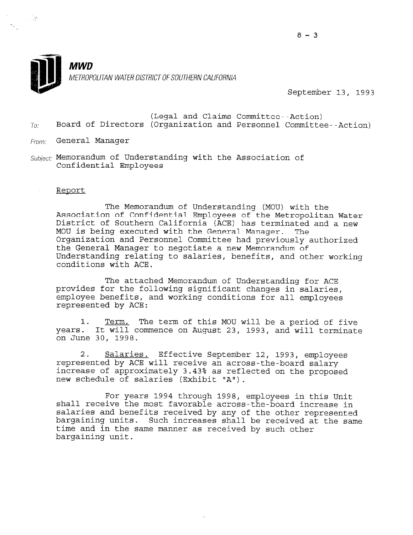

 $\mathcal{L}^{\text{max}}$ 

# **MWD** METROPOLITAN WATER DISTRICT OF SOUTHERN CALIFORNIA

September 13, 1993

- (Legal and Claims Committee--Action)  $T_{0i}$  Board of Directors (Organization and Personnel Committee--Action)
- From: General Manager
- $Subject:$  Memorandum of Understanding with the Association of Confidential Employees

#### Report

The Memorandum of Understanding (MOU) with the Association of Confidential Employees of the Metropolitan Water District of Southern California (ACE) has terminated and a new MOU is being executed with the General Manager. The Organization and Personnel Committee had previously authorized the General Manager to negotiate a new Memorandum of Understanding relating to salaries, benefits, and other working conditions with ACE.

The attached Memorandum of Understanding for ACE provides for the following significant changes in salaries, employee benefits, and working conditions for all employees represented by ACE:

1. Term. The term of this MOU will be a period of five years. It will commence on August 23, 1993, and will terminate on June 30, 1998.

2. Salaries. Effective September 12, 1993, employees represented by ACE will receive an across-the-board salary increase of approximately 3.43% as reflected on the proposed new schedule of salaries (Exhibit UAN).

For years 1994 through 1998, employees in this Unit rof years 1994 unfough 1998, employees in this unit salaries and benefits received by any of the other represented salaries and benefits received by any of the other represented bargaining units. Such increases shall be received at the same time and in the same manner as received by such other bargaining unit.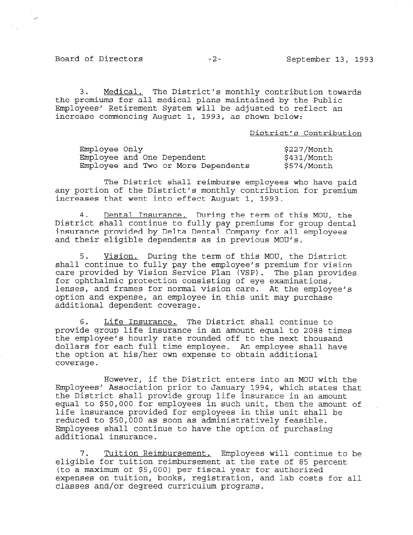$\mathbb{R}^2$ 

3. Medical. The District's monthly contribution towards the premiums for all medical plans maintained by the Public Employees' Retirement System will be adjusted to reflect an increase commencing August 1, 1993, as shown below:

District's Contribution

| Employee Only |  |                                     | \$227/Month |
|---------------|--|-------------------------------------|-------------|
|               |  | Employee and One Dependent          | \$431/Month |
|               |  | Employee and Two or More Dependents | \$574/Month |

The District shall reimburse employees who have paid any portion of the District's monthly contribution for premium increases that went into effect August 1, 1993.

4. Dental Insurance. During the term of this MOU, the District shall continue to fully pay premiums for group dental insurance provided by Delta Dental Company for all employees and their eligible dependents as in previous MOU's.

5. Vision. During the term of this MOU, the District shall continue to fully pay the employee's premium for vision care provided by Vision Service Plan (VSP). The plan provides for ophthalmic protection consisting of eye examinations, lenses, and frames for normal vision care. At the employee's option and expense, an employee in this unit may purchase additional dependent coverage.

6. Life Insurance. The District shall continue to provide group life insurance in an amount equal to 2088 times the employee's hourly rate rounded off to the next thousand dollars for each full time employee. An employee shall have the option at his/her own expense to obtain additional cue opc<br>covera

However, if the District enters into an MOU with the Employees' Association prior to January 1994, which states that the District shall provide group life insurance in an amount equal to \$50,000 for employees in such unit, then the amount of equal to pou, our for employees in such unit, then the amount reduced to \$50,000 as soon as administratively feasible. Employees shall continue to have the option of purchasing Employees shall continue to have the option of purchasing additional insurance.

7. Tuition Reimbursement. Employees will continue to be eligible for tuition reimbursement. Amployees will continue to eligible for tuition reimbursement at the rate of 85 percent<br>(to a maximum of \$5,000) per fiscal year for authorized expenses on tuition, books, registration, and lab costs for all  $\sim$ expenses on cuicion, books, registracion,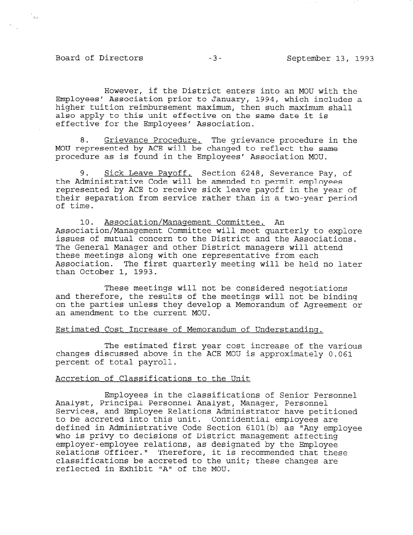# Board of Directors -3- September 13, 1993

 $\gamma_{\phi\phi}$ 

However, if the District enters into an MOU with the Employees' Association prior to January, 1994, which includes a higher tuition reimbursement maximum, then such maximum shall also apply to this unit effective on the same date it is effective for the Employees' Association.

8. Grievance Procedure. The grievance procedure in the MOU represented by ACE will be changed to reflect the same procedure as is found in the Employees' Association MOU.

9. Sick Leave Payoff. Section 6248, Severance Pay, of the Administrative Code will be amended to permit employees represented by ACE to receive sick leave payoff in the year of their separation from service rather than in a two-year period of time.

10. Association/Management Committee. An Association/Management Committee will meet quarterly to explore issues of mutual concern to the District and the Associations. The General Manager and other District managers will attend these meetings along with one representative from each Association. The first quarterly meeting will be held no later than October 1, 1993.

These meetings will not be considered negotiations and therefore, the results of the meetings will not be binding on the parties unless they develop a Memorandum of Agreement or an amendment to the current MOU.

#### Estimated Cost Increase of Memorandum of Understanding.

The estimated first year cost increase of the various changes discussed above in the ACE MOU is approximately 0.061 percent of total payroll.

#### Accretion of Classifications to the Unit

Employees in the classifications of Senior Personnel Analyst, Principal Personnel Analyst, Manager, Personnel Analyst, filmcipal felsonnel Analyst, Manager, Felsonnel<br>Gerrices, and Employee Relations Administrator have petition Services, and Employee Relations Administrator have petitioned<br>to be accreted into this unit. Confidential employees are defined in Administrative Code Section 6101(b) as 'IAny employee who is privy to decisions of District management affecting who is privy to decisions of District management affecting employer-employee relations, as designated by the Employee Relations Officer." Therefore, it is recommended that these classifications be accreted to the unit; these changes are reflected in Exhibit "A" of the MOU.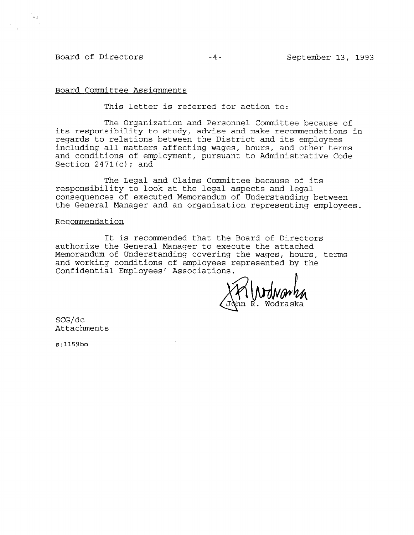# Board of Directors -4- September 13, 1993

.<br>అం

#### Board Committee Assignments

This letter is referred for action to:

The Organization and Personnel Committee because of its responsibility to study, advise and make recommendations in regards to relations between the District and its employees including all matters affecting wages, hours, and other terms and conditions of employment, pursuant to Administrative Code Section  $2471(c)$ ; and

The Legal and Claims Committee because of its responsibility to look at the legal aspects and legal consequences of executed Memorandum of Understanding between the General Manager and an organization representing employees.

#### Recommendation

It is recommended that the Board of Directors authorize the General Manager to execute the attached Memorandum of Understanding covering the wages, hours, terms and working conditions of employees represented by the Confidential Employees' Associations.

SCG/dc Attachments

s:1159bo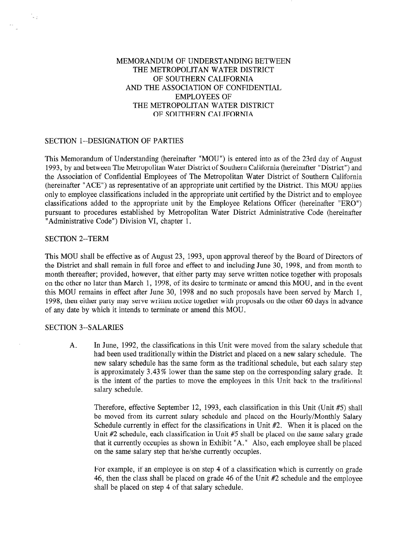# MEMORANDUM OF UNDERSTANDING BETWEEN THE METROPOLITAN WATER DISTRICT OF SOUTHERN CALIFORNIA AND THE ASSOCIATION OF CONFIDENTIAL EMPLOYEES OF THE METROPOLITAN WATER DISTRICT OF SOUTHERN CALIFORNIA

## SECTION l--DESIGNATION OF PARTIES

This Memorandum of Understanding (hereinafter "MOU") is entered into as of the 23rd day of August 1993, by and between The Metropolitan Water District of Southern California (hereinafter "District") and the Association of Confidential Employees of The Metropolitan Water District of Southern California (hereinafter "ACE") as representative of an appropriate unit certified by the District. This MOU applies only to employee classifications included in the appropriate unit certified by the District and to employee classifications added to the appropriate unit by the Employee Relations Officer (hereinafter "ERO") pursuant to procedures established by Metropolitan Water District Administrative Code (hereinafter "Administrative Code") Division VI, chapter 1.

#### SECTION 2--TERM

.<br>Кол

This MOU shall be effective as of August 23, 1993, upon approval thereof by the Board of Directors of the District and shall remain in full force and effect to and including June 30, 1998, and from month to month thereafter; provided, however, that either party may serve written notice together with proposals on the other no later than March 1, 1998, of its desire to terminate or amend this MOU, and in the event this MOU remains in effect after June 30, 1998 and no such proposals have been served by March 1, 1998, then either party may serve written notice together with proposals on the other 60 days in advance of any date by which it intends to terminate or amend this MOU.

# SECTION 3--SALARIES

A. In June, 1992, the classifications in this Unit were moved from the salary schedule that had been used traditionally within the District and placed on a new salary schedule. The new salary schedule has the same form as the traditional schedule, but each salary step is approximately 3.43% lower than the same step on the corresponding salary grade. It is the intent of the parties to move the employees in this Unit back to the traditional salary schedule.

Therefore, effective September 12, 1993, each classification in this Unit (Unit #5) shall be moved from its current salary schedule and placed on the Hourly/Monthly Salary Schedule currently in effect for the classifications in Unit #2. When it is placed on the Unit #2 schedule, each classification in Unit #5 shall be placed on the same salary grade that it currently occupies as shown in Exhibit "A. " Also, each employee shall be placed on the same salary step that he/she currently occupies.

For example, if an employee is on step 4 of a classification which is currently on grade 46, then the class shall be placed on grade 46 of the Unit #2 schedule and the employee shall be placed on step 4 of that salary schedule.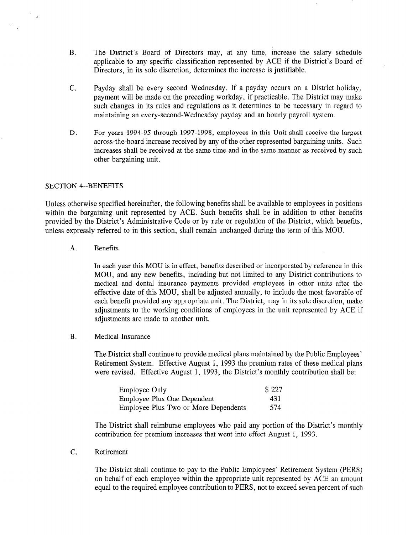- B. The District's Board of Directors may, at any time, increase the salary schedule applicable to any specific classification represented by ACE if the District's Board of Directors, in its sole discretion, determines the increase is justifiable.
- C. Payday shall be every second Wednesday. If a payday occurs on a District holiday, payment will be made on the preceding workday, if practicable. The District may make such changes in its rules and regulations as it determines to be necessary in regard to maintaining an every-second-Wednesday payday and an hourly payroll system.
- D. For years 1994-95 through 1997-1998, employees in this Unit shall receive the largest across-the-board increase received by any of the other represented bargaining units. Such increases shall be received at the same time and in the same manner as received by such other bargaining unit.

#### SECTION 4--BENEFITS

Unless otherwise specified hereinafter, the following benefits shall be available to employees in positions within the bargaining unit represented by ACE. Such benefits shall be in addition to other benefits provided by the District's Administrative Code or by rule or regulation of the District, which benefits, unless expressly referred to in this section, shall remain unchanged during the term of this MOU.

A. Benefits

In each year this MOU is in effect, benefits described or incorporated by reference in this MOU, and any new benefits, including but not limited to any District contributions to medical and dental insurance payments provided employees in other units after the effective date of this MOU, shall be adjusted annually, to include the most favorable of each benefit provided any appropriate unit. The District, may in its sole discretion, make adjustments to the working conditions of employees in the unit represented by ACE if adjustments are made to another unit.

B. Medical Insurance

The District shall continue to provide medical plans maintained by the Public Employees' Retirement System. Effective August 1, 1993 the premium rates of these medical plans were revised. Effective August 1, 1993, the District's monthly contribution shall be:

| <b>Employee Only</b>                 | \$227 |
|--------------------------------------|-------|
| Employee Plus One Dependent          | 431   |
| Employee Plus Two or More Dependents | 574   |

The District shall reimburse employees who paid any portion of the District's monthly contribution for premium increases that went into effect August 1, 1993.

C. Retirement

The District shall continue to pay to the Public Employees' Retirement System (PERS) on behalf of each employee within the appropriate unit represented by ACE an amount equal to the required employee contribution to PERS, not to exceed seven percent of such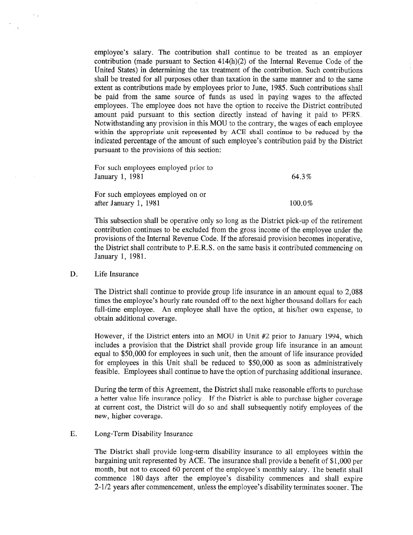employee's salary. The contribution shall continue to be treated as an employer contribution (made pursuant to Section 414(h)(2) of the Internal Revenue Code of the United States) in determining the tax treatment of the contribution. Such contributions shall be treated for all purposes other than taxation in the same manner and to the same extent as contributions made by employees prior to June, 1985. Such contributions shall be paid from the same source of funds as used in paying wages to the affected employees. The employee does not have the option to receive the District contributed amount paid pursuant to this section directly instead of having it paid to PERS. Notwithstanding any provision in this MOU to the contrary, the wages of each employee within the appropriate unit represented by ACE shall continue to be reduced by the indicated percentage of the amount of such employee's contribution paid by the District pursuant to the provisions of this section:

| For such employees employed prior to<br>January 1, 1981    | 64.3%  |
|------------------------------------------------------------|--------|
| For such employees employed on or<br>after January 1, 1981 | 100.0% |

This subsection shall be operative only so long as the District pick-up of the retirement contribution continues to be excluded from the gross income of the employee under the provisions of the Internal Revenue Code. If the aforesaid provision becomes inoperative, the District shall contribute to P.E.R.S. on the same basis it contributed commencing on January 1, 1981.

### D. Life Insurance

The District shall continue to provide group life insurance in an amount equal to 2,088 times the employee's hourly rate rounded off to the next higher thousand dollars for each full-time employee. An employee shall have the option, at his/her own expense, to obtain additional coverage.

However, if the District enters into an MOU in Unit #2 prior to January 1994, which includes a provision that the District shall provide group life insurance in an amount equal to \$50,000 for employees in such unit, then the amount of life insurance provided for employees in this Unit shall be reduced to \$50,000 as soon as administratively feasible. Employees shall continue to have the option of purchasing additional insurance.

During the term of this Agreement, the District shall make reasonable efforts to purchase a better value life insurance policy. If the District is able to purchase higher coverage at current cost, the District will do so and shall subsequently notify employees of the new, higher coverage.

### E. Long-Term Disability Insurance

The District shall provide long-term disability insurance to all employees within the bargaining unit represented by ACE. The insurance shall provide a benefit of \$1,000 per month, but not to exceed 60 percent of the employee's monthly salary. The benefit shall commence 180 days after the employee's disability commences and shall expire 2-1/2 years after commencement, unless the employee's disability terminates sooner. The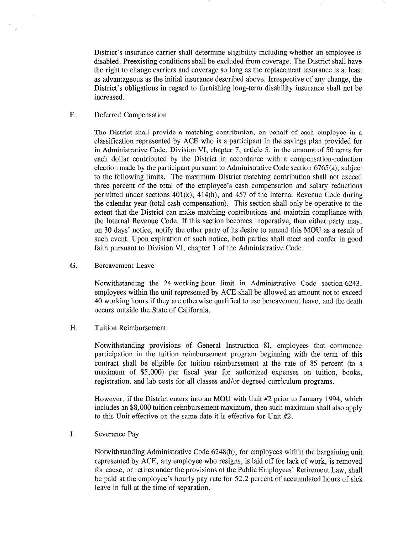District's insurance carrier shall determine eligibility including whether an employee is disabled. Preexisting conditions shall be excluded from coverage. The District shall have the right to change carriers and coverage so long as the replacement insurance is at least as advantageous as the initial insurance described above. Irrespective of any change, the District's obligations in regard to furnishing long-term disability insurance shall not be increased.

F. Deferred Compensation

The District shall provide a matching contribution, on behalf of each employee in a classification represented by ACE who is a participant in the savings plan provided for in Administrative Code, Division VI, chapter 7, article 5, in the amount of 50 cents for each dollar contributed by the District in accordance with a compensation-reduction election made by the participant pursuant to Administrative Code section 6765(a), subject to the following limits. The maximum District matching contribution shall not exceed three percent of the total of the employee's cash compensation and salary reductions permitted under sections 401(k), 414(h), and 457 of the Internal Revenue Code during the calendar year (total cash compensation). This section shall only be operative to the extent that the District can make matching contributions and maintain compliance with the Internal Revenue Code. If this section becomes inoperative, then either party may, on 30 days' notice, notify the other party of its desire to amend this MOU as a result of such event. Upon expiration of such notice, both parties shall meet and confer in good faith pursuant to Division VI, chapter 1 of the Administrative Code.

G. Bereavement Leave

Notwithstanding the 24-working-hour limit in Administrative Code section 6243, employees within the unit represented by ACE shall be allowed an amount not to exceed 40 working hours if they are otherwise qualified to use bereavement leave, and the death occurs outside the State of California.

H. Tuition Reimbursement

Notwithstanding provisions of General Instruction 81, employees that commence participation in the tuition reimbursement program beginning with the term of this contract shall be eligible for tuition reimbursement at the rate of 85 percent (to a maximum of \$5,000) per fiscal year for authorized expenses on tuition, books, registration, and lab costs for all classes and/or degreed curriculum programs.

However, if the District enters into an MOU with Unit #2 prior to January 1994, which includes an \$8,000 tuition reimbursement maximum, then such maximum shall also apply to this Unit effective on the same date it is effective for Unit #2.

I. Severance Pay

Notwithstanding Administrative Code 6248(b), for employees within the bargaining unit represented by ACE, any employee who resigns, is laid off for lack of work, is removed for cause, or retires under the provisions of the Public Employees' Retirement Law, shall be paid at the employee's hourly pay rate for 52.2 percent of accumulated hours of sick leave in full at the time of separation.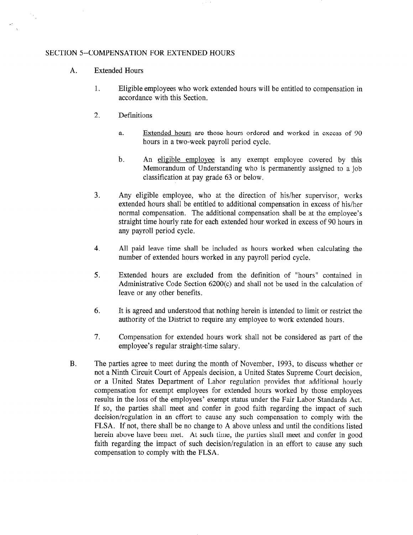### SECTION 5--COMPENSATION FOR EXTENDED HOURS

- A. Extended Hours
	- 1. Eligible employees who work extended hours will be entitled to compensation in accordance with this Section.
	- 2. Definitions
		- a. Extended hours are those hours ordered and worked in excess of 90 hours in a two-week payroll period cycle.
		- b. An eligible emplovee is any exempt employee covered by this Memorandum of Understanding who is permanently assigned to a job classification at pay grade 63 or below.
	- 3. Any eligible employee, who at the direction of his/her supervisor, works extended hours shall be entitled to additional compensation in excess of his/her normal compensation. The additional compensation shall be at the employee's straight time hourly rate for each extended hour worked in excess of 90 hours in any payroll period cycle.
	- 4. All paid leave time shall be included as hours worked when calculating the number of extended hours worked in any payroll period cycle.
	- 5. Extended hours are excluded from the definition of "hours" contained in Administrative Code Section 6200(c) and shall not be used in the calculation of leave or any other benefits.
	- 6. It is agreed and understood that nothing herein is intended to limit or restrict the authority of the District to require any employee to work extended hours.
	- 7. Compensation for extended hours work shall not be considered as part of the employee's regular straight-time salary.
- B. The parties agree to meet during the month of November, 1993, to discuss whether or not a Ninth Circuit Court of Appeals decision, a United States Supreme Court decision, or a United States Department of Labor regulation provides that additional hourly compensation for exempt employees for extended hours worked by those employees results in the loss of the employees' exempt status under the Fair Labor Standards Act. If so, the parties shall meet and confer in good faith regarding the impact of such decision/regulation in an effort to cause any such compensation to comply with the FLSA. If not, there shall be no change to A above unless and until the conditions listed herein above have been met. At such time, the parties shall meet and confer in good faith regarding the impact of such decision/regulation in an effort to cause any such compensation to comply with the FLSA.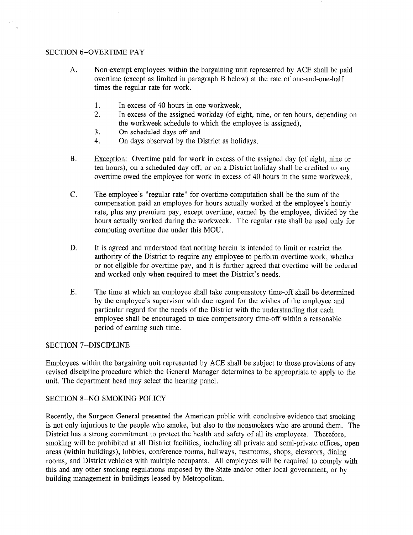### SECTION 6--OVERTIME PAY

 $\mathbb{R}^2$ 

- A. Non-exempt employees within the bargaining unit represented by ACE shall be paid overtime (except as limited in paragraph B below) at the rate of one-and-one-half times the regular rate for work.
	- 1. In excess of 40 hours in one workweek,
	- 2. In excess of the assigned workday (of eight, nine, or ten hours, depending on the workweek schedule to which the employee is assigned),
	- 3. On scheduled days off and
	- 4. On days observed by the District as holidays.
- B. Excention: Overtime paid for work in excess of the assigned day (of eight, nine or ten hours), on a scheduled day off, or on a District holiday shall be credited to any overtime owed the employee for work in excess of 40 hours in the same workweek.
- C. The employee's "regular rate" for overtime computation shall be the sum of the compensation paid an employee for hours actually worked at the employee's hourly rate, plus any premium pay, except overtime, earned by the employee, divided by the hours actually worked during the workweek. The regular rate shall be used only for computing overtime due under this MOU.
- D. It is agreed and understood that nothing herein is intended to limit or restrict the authority of the District to require any employee to perform overtime work, whether or not eligible for overtime pay, and it is further agreed that overtime will be ordered and worked only when required to meet the District's needs.
- E. The time at which an employee shall take compensatory time-off shall be determined by the employee's supervisor with due regard for the wishes of the employee and particular regard for the needs of the District with the understanding that each employee shall be encouraged to take compensatory time-off within a reasonable period of earning such time.

# SECTION 7--DISCIPLINE

Employees within the bargaining unit represented by ACE shall be subject to those provisions of any revised discipline procedure which the General Manager determines to be appropriate to apply to the unit. The department head may select the hearing panel.

#### SECTION 8--NO SMOKING POLICY

Recently, the Surgeon General presented the American public with conclusive evidence that smoking is not only injurious to the people who smoke, but also to the nonsmokers who are around them. The District has a strong commitment to protect the health and safety of all its employees. Therefore, smoking will be prohibited at all District facilities, including all private and semi-private offices, open areas (within buildings), lobbies, conference rooms, hallways, restrooms, shops, elevators, dining rooms, and District vehicles with multiple occupants. All employees will be required to comply with this and any other smoking regulations imposed by the State and/or other local government, or by building management in buildings leased by Metropolitan.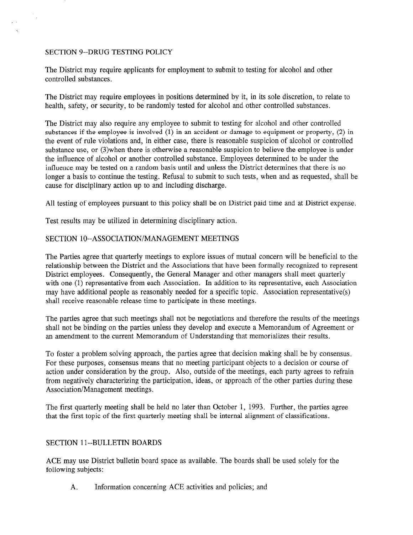## SECTION 9--DRUG TESTING POLICY

The District may require applicants for employment to submit to testing for alcohol and other controlled substances.

The District may require employees in positions determined by it, in its sole discretion, to relate to health, safety, or security, to be randomly tested for alcohol and other controlled substances.

The District may also require any employee to submit to testing for alcohol and other controlled substances if the employee is involved  $(1)$  in an accident or damage to equipment or property,  $(2)$  in the event of rule violations and, in either case, there is reasonable suspicion of alcohol or controlled substance use, or (3)when there is otherwise a reasonable suspicion to believe the employee is under the influence of alcohol or another controlled substance. Employees determined to be under the influence may be tested on a random basis until and unless the District determines that there is no longer a basis to continue the testing. Refusal to submit to such tests, when and as requested, shall be cause for disciplinary action up to and including discharge.

All testing of employees pursuant to this policy shall be on District paid time and at District expense.

Test results may be utilized in determining disciplinary action.

# SECTION lo--ASSOCIATION/MANAGEMENT MEETINGS

The Parties agree that quarterly meetings to explore issues of mutual concern will be beneficial to the relationship between the District and the Associations that have been formally recognized to represent District employees. Consequently, the General Manager and other managers shall meet quarterly with one (1) representative from each Association. In addition to its representative, each Association may have additional people as reasonably needed for a specific topic. Association representative(s) shall receive reasonable release time to participate in these meetings.

The parties agree that such meetings shall not be negotiations and therefore the results of the meetings shall not be binding on the parties unless they develop and execute a Memorandum of Agreement or an amendment to the current Memorandum of Understanding that memorializes their results.

To foster a problem solving approach, the parties agree that decision making shall be by consensus. For these purposes, consensus means that no meeting participant objects to a decision or course of action under consideration by the group. Also, outside of the meetings, each party agrees to refrain from negatively characterizing the participation, ideas, or approach of the other parties during these Association/Management meetings.

The first quarterly meeting shall be held no later than October 1, 1993. Further, the parties agree that the first topic of the first quarterly meeting shall be internal alignment of classifications.

# SECTION 11--BULLETIN BOARDS

ACE may use District bulletin board space as available. The boards shall be used solely for the following subjects:

A. Information concerning ACE activities and policies; and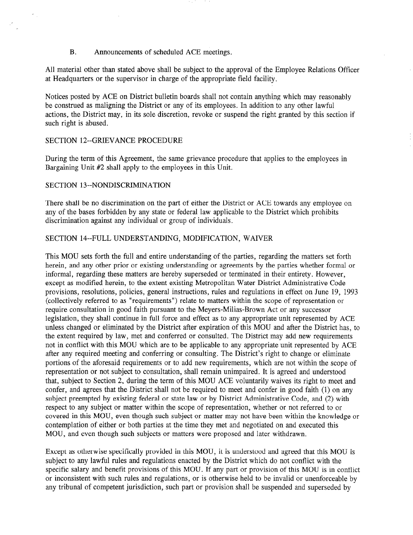#### B. Announcements of scheduled ACE meetings.

All material other than stated above shall be subject to the approval of the Employee Relations Officer at Headquarters or the supervisor in charge of the appropriate field facility.

Notices posted by ACE on District bulletin boards shall not contain anything which may reasonably be construed as maligning the District or any of its employees. In addition to any other lawful actions, the District may, in its sole discretion, revoke or suspend the right granted by this section if such right is abused.

### SECTION 12--GRIEVANCE PROCEDURE

During the term of this Agreement, the same grievance procedure that applies to the employees in Bargaining Unit #2 shall apply to the employees in this Unit.

#### SECTION 13--NONDISCRIMINATION

There shall be no discrimination on the part of either the District or ACE towards any employee on any of the bases forbidden by any state or federal law applicable to the District which prohibits discrimination against any individual or group of individuals.

#### SECTION 14--FULL UNDERSTANDING, MODIFICATION, WAIVER

This MOU sets forth the full and entire understanding of the parties, regarding the matters set forth herein, and any other prior or existing understanding or agreements by the parties whether formal or informal, regarding these matters are hereby superseded or terminated in their entirety. However, except as modified herein, to the extent existing Metropolitan Water District Administrative Code provisions, resolutions, policies, general instructions, rules and regulations in effect on June 19, 1993 (collectively referred to as "requirements") relate to matters within the scope of representation or require consultation in good faith pursuant to the Meyers-Milias-Brown Act or any successor legislation, they shall continue in full force and effect as to any appropriate unit represented by ACE unless changed or eliminated by the District after expiration of this MOU and after the District has, to the extent required by law, met and conferred or consulted. The District may add new requirements not in conflict with this MOU which are to be applicable to any appropriate unit represented by ACE after any required meeting and conferring or consulting. The District's right to change or eliminate portions of the aforesaid requirements or to add new requirements, which are not within the scope of representation or not subject to consultation, shall remain unimpaired. It is agreed and understood that, subject to Section 2, during the term of this MOU ACE voluntarily waives its right to meet and confer, and agrees that the District shall not be required to meet and confer in good faith (1) on any subject preempted by existing federal or state law or by District Administrative Code, and (2) with respect to any subject or matter within the scope of representation, whether or not referred to or covered in this MOU, even though such subject or matter may not have been within the knowledge or contemplation of either or both parties at the time they met and negotiated on and executed this MOU, and even though such subjects or matters were proposed and later withdrawn.

Except as otherwise specifically provided in this MOU, it is understood and agreed that this MOU is subject to any lawful rules and regulations enacted by the District which do not conflict with the subject to any faw in fulls and regulations enacted by the District which do not conflict while the specific salary and benefit provisions of uns moot, if any part of provision or uns moot is in confident or inconsistent with such rules and regulations, or is otherwise held to be invalid or unenforceable by any tribunal of competent jurisdiction, such part or provision shall be suspended and superseded by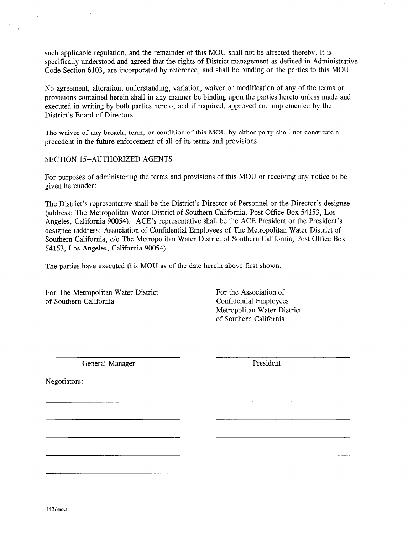such applicable regulation, and the remainder of this MOU shall not be affected thereby. It is specifically understood and agreed that the rights of District management as defined in Administrative Code Section 6103, are incorporated by reference, and shall be binding on the parties to this MOU.

No agreement, alteration, understanding, variation, waiver or modification of any of the terms or provisions contained herein shall in any manner be binding upon the parties hereto unless made and executed in writing by both parties hereto, and if required, approved and implemented by the District's Board of Directors.

The waiver of any breach, term, or condition of this MOU by either party shall not constitute a precedent in the future enforcement of all of its terms and provisions.

SECTION 15-AUTHORIZED AGENTS

For purposes of administering the terms and provisions of this MOU or receiving any notice to be given hereunder:

The District's representative shall be the District's Director of Personnel or the Director's designee (address: The Metropolitan Water District of Southern California, Post Office Box 54153, Los Angeles, California 90054). ACE's representative shall be the ACE President or the President's designee (address: Association of Confidential Employees of The Metropolitan Water District of Southern California, c/o The Metropolitan Water District of Southern California, Post Office Box 54 153, Los Angeles, California 90054).

The parties have executed this MOU as of the date herein above first shown.

For The Metropolitan Water District of Southern California

For the Association of Confidential Employees Metropolitan Water District of Southern California

General Manager President

<u> 1980 - Jan James James Barnett, filozof eta ingilar eta ingilaria (h. 1918).</u>

Negotiators: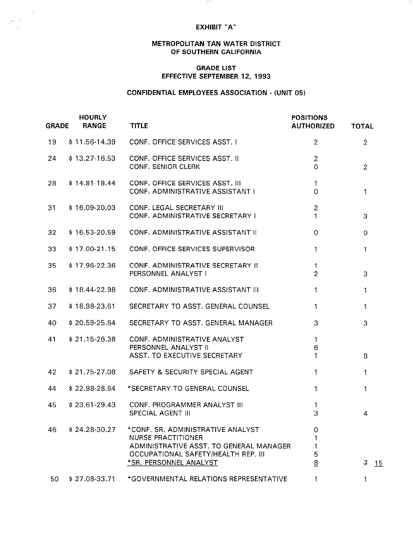#### EXHIBIT "A"

- 111

#### METROPOLITAN TAN WATER DISTRICT OF SOUTHERN CALIFORNIA

#### GRADE LIST EFFECTIVE SEPTEMBER 12, 1993

# CONFIDENTIAL EMPLOYEES ASSOCIATION - (UNIT 05)

| <b>GRADE</b> | <b>HOURLY</b><br><b>RANGE</b> | <b>TITLE</b>                                                                                                                                                               | <b>POSITIONS</b><br><b>AUTHORIZED</b> | <b>TOTAL</b>   |
|--------------|-------------------------------|----------------------------------------------------------------------------------------------------------------------------------------------------------------------------|---------------------------------------|----------------|
| 19           | $$11.56-14.39$                | CONF. OFFICE SERVICES ASST. I                                                                                                                                              | $\overline{2}$                        | $\overline{2}$ |
| 24           | $$13.27-16.53$                | CONF. OFFICE SERVICES ASST. II<br><b>CONF. SENIOR CLERK</b>                                                                                                                | $\overline{2}$<br>$\overline{O}$      | $\overline{2}$ |
| 28           | $$14.81-18.44$                | <b>CONF. OFFICE SERVICES ASST. III</b><br>CONF. ADMINISTRATIVE ASSISTANT I                                                                                                 | $\mathbf{1}$<br>$\overline{0}$        | $\mathbf{1}$   |
| 31           | $$16.09-20.03$                | CONF. LEGAL SECRETARY III<br>CONF. ADMINISTRATIVE SECRETARY I                                                                                                              | $\overline{2}$<br>1                   | 3              |
| 32           | $$16.53-20.59$                | CONF. ADMINISTRATIVE ASSISTANT II                                                                                                                                          | $\Omega$                              | $\mathbf 0$    |
| 33           | $$17.00-21.15$                | CONF. OFFICE SERVICES SUPERVISOR                                                                                                                                           | 1                                     | $\mathbf{1}$   |
| 35           | $$17.96-22.36$                | CONF. ADMINISTRATIVE SECRETARY II<br>PERSONNEL ANALYST I                                                                                                                   | 1<br>$\overline{2}$                   | 3              |
| 36           | $$18.44-22.98$                | CONF. ADMINISTRATIVE ASSISTANT III                                                                                                                                         | 1                                     | $\mathbf{1}$   |
| 37           | $$18.98-23.61$                | SECRETARY TO ASST. GENERAL COUNSEL                                                                                                                                         | 1                                     | $\mathbf{1}$   |
| 40           | $$20.59-25.64$                | SECRETARY TO ASST. GENERAL MANAGER                                                                                                                                         | 3                                     | 3              |
| 41           | $$21.15-26.38$                | CONF. ADMINISTRATIVE ANALYST<br>PERSONNEL ANALYST II<br>ASST. TO EXECUTIVE SECRETARY                                                                                       | 1<br>6<br>1                           | 8              |
| 42           | $$21.75-27.08$                | SAFETY & SECURITY SPECIAL AGENT                                                                                                                                            | $\mathbf{1}$                          | 1              |
| 44           | $$22.98-28.64$                | *SECRETARY TO GENERAL COUNSEL                                                                                                                                              | 1                                     | 1              |
| 45           | $$23.61-29.43$                | CONF. PROGRAMMER ANALYST III<br><b>SPECIAL AGENT III</b>                                                                                                                   | 1<br>3                                | $\overline{4}$ |
| 46.          | $$24.28-30.27$                | *CONE, SR. ADMINISTRATIVE ANALYST<br><b>NURSE PRACTITIONER</b><br>ADMINISTRATIVE ASST. TO GENERAL MANAGER<br>OCCUPATIONAL SAFETY/HEALTH REP. III<br>*SR. PERSONNEL ANALYST | 0<br>1<br>5<br>8                      | $7 \t15$       |
| 50.          |                               | \$27.08-33.71 *GOVERNMENTAL RELATIONS REPRESENTATIVE                                                                                                                       |                                       |                |